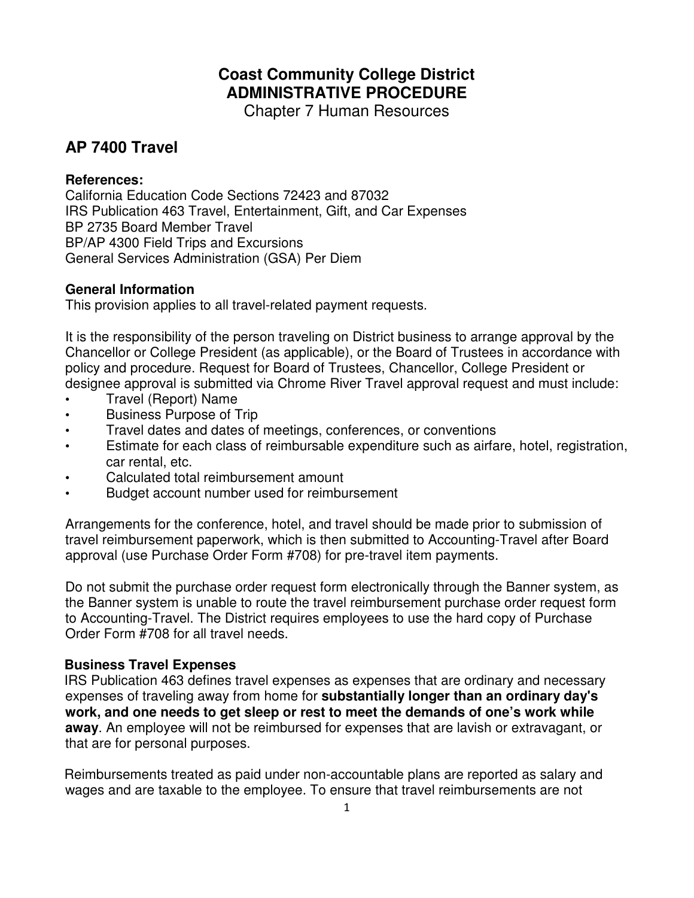# **Coast Community College District ADMINISTRATIVE PROCEDURE**

Chapter 7 Human Resources

# **AP 7400 Travel**

### **References:**

California Education Code Sections 72423 and 87032 IRS Publication 463 Travel, Entertainment, Gift, and Car Expenses BP 2735 Board Member Travel BP/AP 4300 Field Trips and Excursions General Services Administration (GSA) Per Diem

# **General Information**

This provision applies to all travel-related payment requests.

It is the responsibility of the person traveling on District business to arrange approval by the Chancellor or College President (as applicable), or the Board of Trustees in accordance with policy and procedure. Request for Board of Trustees, Chancellor, College President or designee approval is submitted via Chrome River Travel approval request and must include:

- Travel (Report) Name
- Business Purpose of Trip
- Travel dates and dates of meetings, conferences, or conventions
- Estimate for each class of reimbursable expenditure such as airfare, hotel, registration, car rental, etc.
- Calculated total reimbursement amount
- Budget account number used for reimbursement

Arrangements for the conference, hotel, and travel should be made prior to submission of travel reimbursement paperwork, which is then submitted to Accounting-Travel after Board approval (use Purchase Order Form #708) for pre-travel item payments.

Do not submit the purchase order request form electronically through the Banner system, as the Banner system is unable to route the travel reimbursement purchase order request form to Accounting-Travel. The District requires employees to use the hard copy of Purchase Order Form #708 for all travel needs.

# **Business Travel Expenses**

IRS Publication 463 defines travel expenses as expenses that are ordinary and necessary expenses of traveling away from home for **substantially longer than an ordinary day's work, and one needs to get sleep or rest to meet the demands of one's work while away**. An employee will not be reimbursed for expenses that are lavish or extravagant, or that are for personal purposes.

Reimbursements treated as paid under non-accountable plans are reported as salary and wages and are taxable to the employee. To ensure that travel reimbursements are not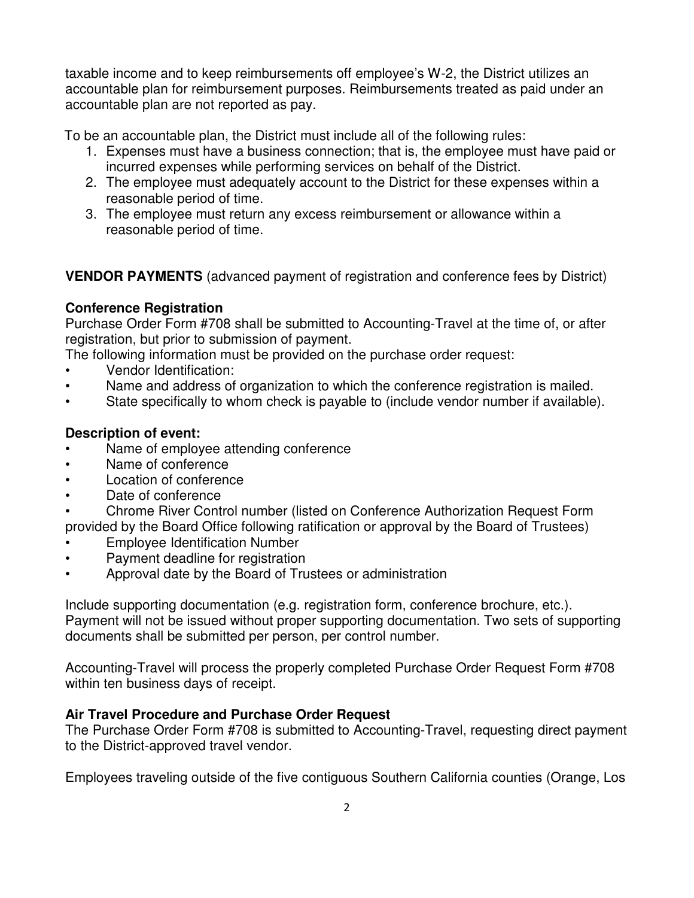taxable income and to keep reimbursements off employee's W-2, the District utilizes an accountable plan for reimbursement purposes. Reimbursements treated as paid under an accountable plan are not reported as pay.

To be an accountable plan, the District must include all of the following rules:

- 1. Expenses must have a business connection; that is, the employee must have paid or incurred expenses while performing services on behalf of the District.
- 2. The employee must adequately account to the District for these expenses within a reasonable period of time.
- 3. The employee must return any excess reimbursement or allowance within a reasonable period of time.

**VENDOR PAYMENTS** (advanced payment of registration and conference fees by District)

# **Conference Registration**

Purchase Order Form #708 shall be submitted to Accounting-Travel at the time of, or after registration, but prior to submission of payment.

The following information must be provided on the purchase order request:

- Vendor Identification:
- Name and address of organization to which the conference registration is mailed.
- State specifically to whom check is payable to (include vendor number if available).

# **Description of event:**

- Name of employee attending conference
- Name of conference
- **Location of conference**
- Date of conference
- Chrome River Control number (listed on Conference Authorization Request Form provided by the Board Office following ratification or approval by the Board of Trustees)
- Employee Identification Number
- Payment deadline for registration
- Approval date by the Board of Trustees or administration

Include supporting documentation (e.g. registration form, conference brochure, etc.). Payment will not be issued without proper supporting documentation. Two sets of supporting documents shall be submitted per person, per control number.

Accounting-Travel will process the properly completed Purchase Order Request Form #708 within ten business days of receipt.

# **Air Travel Procedure and Purchase Order Request**

The Purchase Order Form #708 is submitted to Accounting-Travel, requesting direct payment to the District-approved travel vendor.

Employees traveling outside of the five contiguous Southern California counties (Orange, Los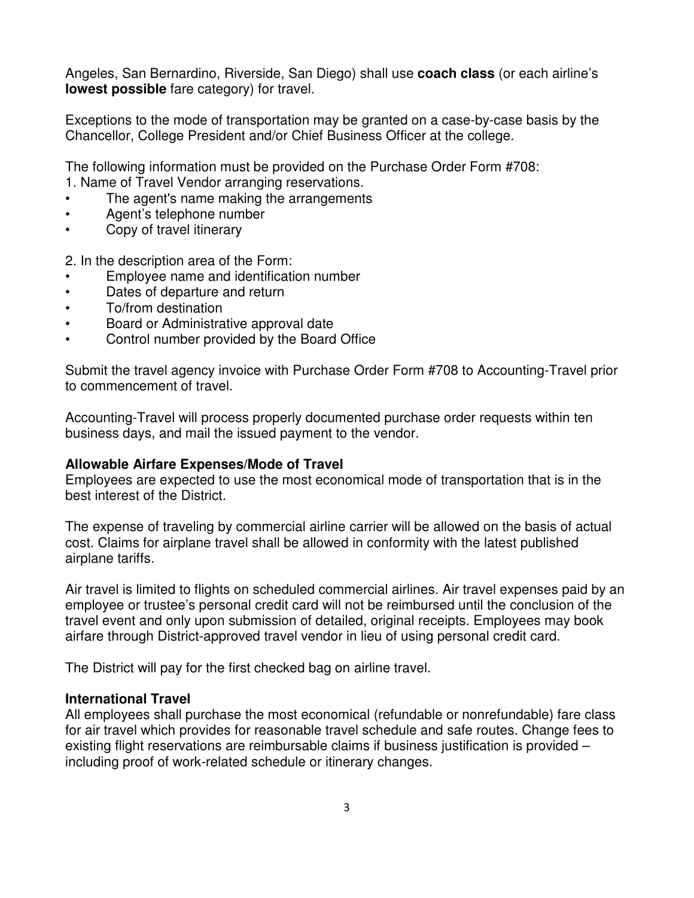Angeles, San Bernardino, Riverside, San Diego) shall use **coach class** (or each airline's **lowest possible** fare category) for travel.

Exceptions to the mode of transportation may be granted on a case-by-case basis by the Chancellor, College President and/or Chief Business Officer at the college.

The following information must be provided on the Purchase Order Form #708:

- 1. Name of Travel Vendor arranging reservations.
- The agent's name making the arrangements
- Agent's telephone number
- Copy of travel itinerary

2. In the description area of the Form:

- Employee name and identification number
- Dates of departure and return
- To/from destination
- Board or Administrative approval date
- Control number provided by the Board Office

Submit the travel agency invoice with Purchase Order Form #708 to Accounting-Travel prior to commencement of travel.

Accounting-Travel will process properly documented purchase order requests within ten business days, and mail the issued payment to the vendor.

# **Allowable Airfare Expenses/Mode of Travel**

Employees are expected to use the most economical mode of transportation that is in the best interest of the District.

The expense of traveling by commercial airline carrier will be allowed on the basis of actual cost. Claims for airplane travel shall be allowed in conformity with the latest published airplane tariffs.

Air travel is limited to flights on scheduled commercial airlines. Air travel expenses paid by an employee or trustee's personal credit card will not be reimbursed until the conclusion of the travel event and only upon submission of detailed, original receipts. Employees may book airfare through District-approved travel vendor in lieu of using personal credit card.

The District will pay for the first checked bag on airline travel.

#### **International Travel**

All employees shall purchase the most economical (refundable or nonrefundable) fare class for air travel which provides for reasonable travel schedule and safe routes. Change fees to existing flight reservations are reimbursable claims if business justification is provided – including proof of work-related schedule or itinerary changes.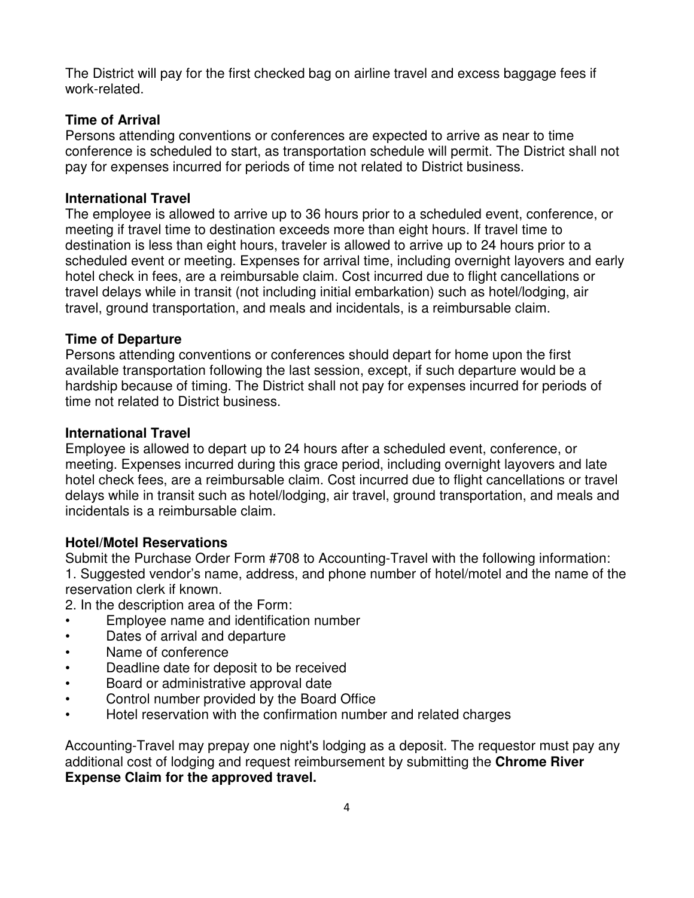The District will pay for the first checked bag on airline travel and excess baggage fees if work-related.

# **Time of Arrival**

Persons attending conventions or conferences are expected to arrive as near to time conference is scheduled to start, as transportation schedule will permit. The District shall not pay for expenses incurred for periods of time not related to District business.

# **International Travel**

The employee is allowed to arrive up to 36 hours prior to a scheduled event, conference, or meeting if travel time to destination exceeds more than eight hours. If travel time to destination is less than eight hours, traveler is allowed to arrive up to 24 hours prior to a scheduled event or meeting. Expenses for arrival time, including overnight layovers and early hotel check in fees, are a reimbursable claim. Cost incurred due to flight cancellations or travel delays while in transit (not including initial embarkation) such as hotel/lodging, air travel, ground transportation, and meals and incidentals, is a reimbursable claim.

# **Time of Departure**

Persons attending conventions or conferences should depart for home upon the first available transportation following the last session, except, if such departure would be a hardship because of timing. The District shall not pay for expenses incurred for periods of time not related to District business.

# **International Travel**

Employee is allowed to depart up to 24 hours after a scheduled event, conference, or meeting. Expenses incurred during this grace period, including overnight layovers and late hotel check fees, are a reimbursable claim. Cost incurred due to flight cancellations or travel delays while in transit such as hotel/lodging, air travel, ground transportation, and meals and incidentals is a reimbursable claim.

# **Hotel/Motel Reservations**

Submit the Purchase Order Form #708 to Accounting-Travel with the following information: 1. Suggested vendor's name, address, and phone number of hotel/motel and the name of the reservation clerk if known.

2. In the description area of the Form:

- Employee name and identification number
- Dates of arrival and departure
- Name of conference
- Deadline date for deposit to be received
- Board or administrative approval date
- Control number provided by the Board Office
- Hotel reservation with the confirmation number and related charges

Accounting-Travel may prepay one night's lodging as a deposit. The requestor must pay any additional cost of lodging and request reimbursement by submitting the **Chrome River Expense Claim for the approved travel.**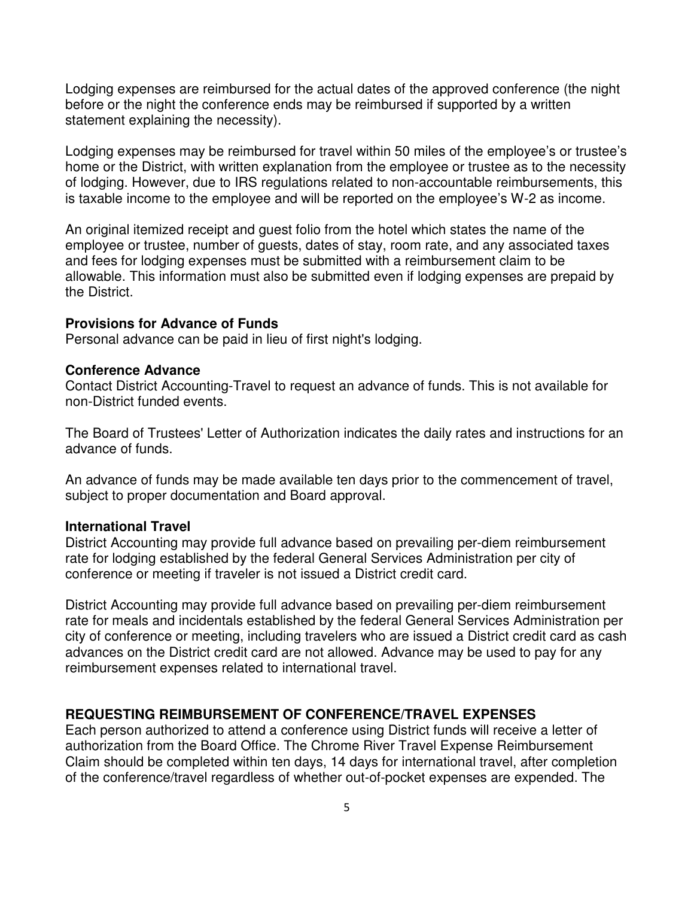Lodging expenses are reimbursed for the actual dates of the approved conference (the night before or the night the conference ends may be reimbursed if supported by a written statement explaining the necessity).

Lodging expenses may be reimbursed for travel within 50 miles of the employee's or trustee's home or the District, with written explanation from the employee or trustee as to the necessity of lodging. However, due to IRS regulations related to non-accountable reimbursements, this is taxable income to the employee and will be reported on the employee's W-2 as income.

An original itemized receipt and guest folio from the hotel which states the name of the employee or trustee, number of guests, dates of stay, room rate, and any associated taxes and fees for lodging expenses must be submitted with a reimbursement claim to be allowable. This information must also be submitted even if lodging expenses are prepaid by the District.

#### **Provisions for Advance of Funds**

Personal advance can be paid in lieu of first night's lodging.

#### **Conference Advance**

Contact District Accounting-Travel to request an advance of funds. This is not available for non-District funded events.

The Board of Trustees' Letter of Authorization indicates the daily rates and instructions for an advance of funds.

An advance of funds may be made available ten days prior to the commencement of travel, subject to proper documentation and Board approval.

### **International Travel**

District Accounting may provide full advance based on prevailing per-diem reimbursement rate for lodging established by the federal General Services Administration per city of conference or meeting if traveler is not issued a District credit card.

District Accounting may provide full advance based on prevailing per-diem reimbursement rate for meals and incidentals established by the federal General Services Administration per city of conference or meeting, including travelers who are issued a District credit card as cash advances on the District credit card are not allowed. Advance may be used to pay for any reimbursement expenses related to international travel.

#### **REQUESTING REIMBURSEMENT OF CONFERENCE/TRAVEL EXPENSES**

Each person authorized to attend a conference using District funds will receive a letter of authorization from the Board Office. The Chrome River Travel Expense Reimbursement Claim should be completed within ten days, 14 days for international travel, after completion of the conference/travel regardless of whether out-of-pocket expenses are expended. The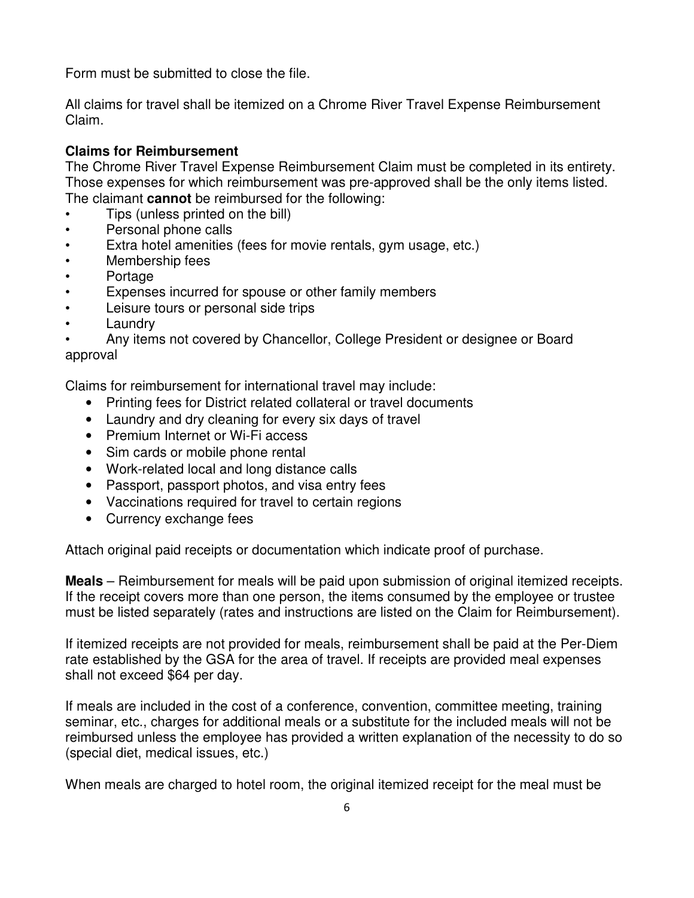Form must be submitted to close the file.

All claims for travel shall be itemized on a Chrome River Travel Expense Reimbursement Claim.

# **Claims for Reimbursement**

The Chrome River Travel Expense Reimbursement Claim must be completed in its entirety. Those expenses for which reimbursement was pre-approved shall be the only items listed. The claimant **cannot** be reimbursed for the following:

- Tips (unless printed on the bill)
- Personal phone calls
- Extra hotel amenities (fees for movie rentals, gym usage, etc.)
- Membership fees
- Portage
- Expenses incurred for spouse or other family members
- Leisure tours or personal side trips
- **Laundry**
- Any items not covered by Chancellor, College President or designee or Board approval

Claims for reimbursement for international travel may include:

- Printing fees for District related collateral or travel documents
- Laundry and dry cleaning for every six days of travel
- Premium Internet or Wi-Fi access
- Sim cards or mobile phone rental
- Work-related local and long distance calls
- Passport, passport photos, and visa entry fees
- Vaccinations required for travel to certain regions
- Currency exchange fees

Attach original paid receipts or documentation which indicate proof of purchase.

**Meals** – Reimbursement for meals will be paid upon submission of original itemized receipts. If the receipt covers more than one person, the items consumed by the employee or trustee must be listed separately (rates and instructions are listed on the Claim for Reimbursement).

If itemized receipts are not provided for meals, reimbursement shall be paid at the Per-Diem rate established by the GSA for the area of travel. If receipts are provided meal expenses shall not exceed \$64 per day.

If meals are included in the cost of a conference, convention, committee meeting, training seminar, etc., charges for additional meals or a substitute for the included meals will not be reimbursed unless the employee has provided a written explanation of the necessity to do so (special diet, medical issues, etc.)

When meals are charged to hotel room, the original itemized receipt for the meal must be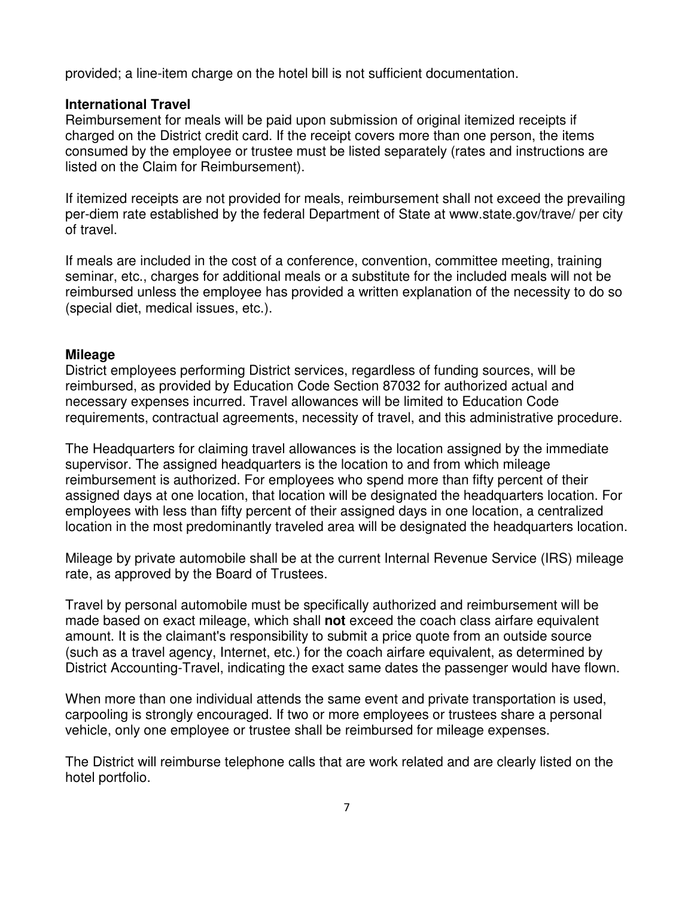provided; a line-item charge on the hotel bill is not sufficient documentation.

# **International Travel**

Reimbursement for meals will be paid upon submission of original itemized receipts if charged on the District credit card. If the receipt covers more than one person, the items consumed by the employee or trustee must be listed separately (rates and instructions are listed on the Claim for Reimbursement).

If itemized receipts are not provided for meals, reimbursement shall not exceed the prevailing per-diem rate established by the federal Department of State at www.state.gov/trave/ per city of travel.

If meals are included in the cost of a conference, convention, committee meeting, training seminar, etc., charges for additional meals or a substitute for the included meals will not be reimbursed unless the employee has provided a written explanation of the necessity to do so (special diet, medical issues, etc.).

### **Mileage**

District employees performing District services, regardless of funding sources, will be reimbursed, as provided by Education Code Section 87032 for authorized actual and necessary expenses incurred. Travel allowances will be limited to Education Code requirements, contractual agreements, necessity of travel, and this administrative procedure.

The Headquarters for claiming travel allowances is the location assigned by the immediate supervisor. The assigned headquarters is the location to and from which mileage reimbursement is authorized. For employees who spend more than fifty percent of their assigned days at one location, that location will be designated the headquarters location. For employees with less than fifty percent of their assigned days in one location, a centralized location in the most predominantly traveled area will be designated the headquarters location.

Mileage by private automobile shall be at the current Internal Revenue Service (IRS) mileage rate, as approved by the Board of Trustees.

Travel by personal automobile must be specifically authorized and reimbursement will be made based on exact mileage, which shall **not** exceed the coach class airfare equivalent amount. It is the claimant's responsibility to submit a price quote from an outside source (such as a travel agency, Internet, etc.) for the coach airfare equivalent, as determined by District Accounting-Travel, indicating the exact same dates the passenger would have flown.

When more than one individual attends the same event and private transportation is used, carpooling is strongly encouraged. If two or more employees or trustees share a personal vehicle, only one employee or trustee shall be reimbursed for mileage expenses.

The District will reimburse telephone calls that are work related and are clearly listed on the hotel portfolio.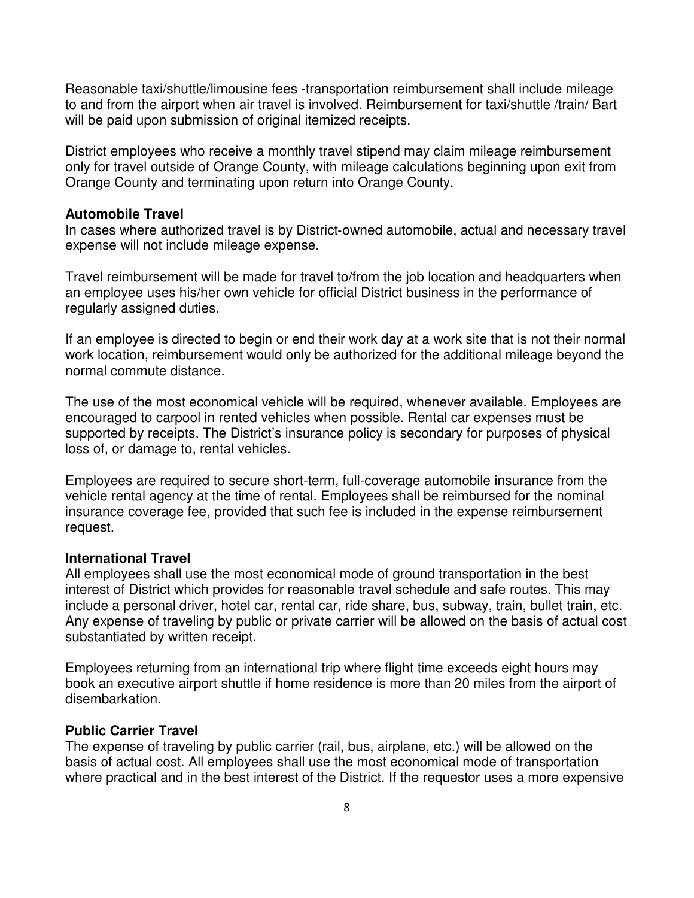Reasonable taxi/shuttle/limousine fees -transportation reimbursement shall include mileage to and from the airport when air travel is involved. Reimbursement for taxi/shuttle /train/ Bart will be paid upon submission of original itemized receipts.

District employees who receive a monthly travel stipend may claim mileage reimbursement only for travel outside of Orange County, with mileage calculations beginning upon exit from Orange County and terminating upon return into Orange County.

#### **Automobile Travel**

In cases where authorized travel is by District‐owned automobile, actual and necessary travel expense will not include mileage expense.

Travel reimbursement will be made for travel to/from the job location and headquarters when an employee uses his/her own vehicle for official District business in the performance of regularly assigned duties.

If an employee is directed to begin or end their work day at a work site that is not their normal work location, reimbursement would only be authorized for the additional mileage beyond the normal commute distance.

The use of the most economical vehicle will be required, whenever available. Employees are encouraged to carpool in rented vehicles when possible. Rental car expenses must be supported by receipts. The District's insurance policy is secondary for purposes of physical loss of, or damage to, rental vehicles.

Employees are required to secure short-term, full-coverage automobile insurance from the vehicle rental agency at the time of rental. Employees shall be reimbursed for the nominal insurance coverage fee, provided that such fee is included in the expense reimbursement request.

#### **International Travel**

All employees shall use the most economical mode of ground transportation in the best interest of District which provides for reasonable travel schedule and safe routes. This may include a personal driver, hotel car, rental car, ride share, bus, subway, train, bullet train, etc. Any expense of traveling by public or private carrier will be allowed on the basis of actual cost substantiated by written receipt.

Employees returning from an international trip where flight time exceeds eight hours may book an executive airport shuttle if home residence is more than 20 miles from the airport of disembarkation.

#### **Public Carrier Travel**

The expense of traveling by public carrier (rail, bus, airplane, etc.) will be allowed on the basis of actual cost. All employees shall use the most economical mode of transportation where practical and in the best interest of the District. If the requestor uses a more expensive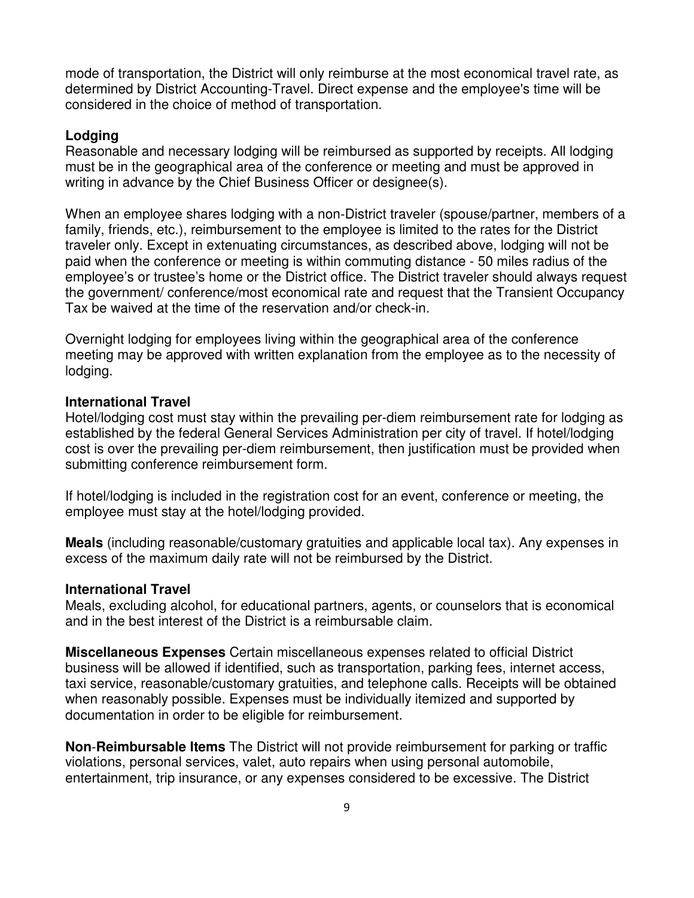mode of transportation, the District will only reimburse at the most economical travel rate, as determined by District Accounting-Travel. Direct expense and the employee's time will be considered in the choice of method of transportation.

#### **Lodging**

Reasonable and necessary lodging will be reimbursed as supported by receipts. All lodging must be in the geographical area of the conference or meeting and must be approved in writing in advance by the Chief Business Officer or designee(s).

When an employee shares lodging with a non‐District traveler (spouse/partner, members of a family, friends, etc.), reimbursement to the employee is limited to the rates for the District traveler only. Except in extenuating circumstances, as described above, lodging will not be paid when the conference or meeting is within commuting distance - 50 miles radius of the employee's or trustee's home or the District office. The District traveler should always request the government/ conference/most economical rate and request that the Transient Occupancy Tax be waived at the time of the reservation and/or check-in.

Overnight lodging for employees living within the geographical area of the conference meeting may be approved with written explanation from the employee as to the necessity of lodging.

#### **International Travel**

Hotel/lodging cost must stay within the prevailing per-diem reimbursement rate for lodging as established by the federal General Services Administration per city of travel. If hotel/lodging cost is over the prevailing per-diem reimbursement, then justification must be provided when submitting conference reimbursement form.

If hotel/lodging is included in the registration cost for an event, conference or meeting, the employee must stay at the hotel/lodging provided.

**Meals** (including reasonable/customary gratuities and applicable local tax). Any expenses in excess of the maximum daily rate will not be reimbursed by the District.

#### **International Travel**

Meals, excluding alcohol, for educational partners, agents, or counselors that is economical and in the best interest of the District is a reimbursable claim.

**Miscellaneous Expenses** Certain miscellaneous expenses related to official District business will be allowed if identified, such as transportation, parking fees, internet access, taxi service, reasonable/customary gratuities, and telephone calls. Receipts will be obtained when reasonably possible. Expenses must be individually itemized and supported by documentation in order to be eligible for reimbursement.

**Non**‐**Reimbursable Items** The District will not provide reimbursement for parking or traffic violations, personal services, valet, auto repairs when using personal automobile, entertainment, trip insurance, or any expenses considered to be excessive. The District